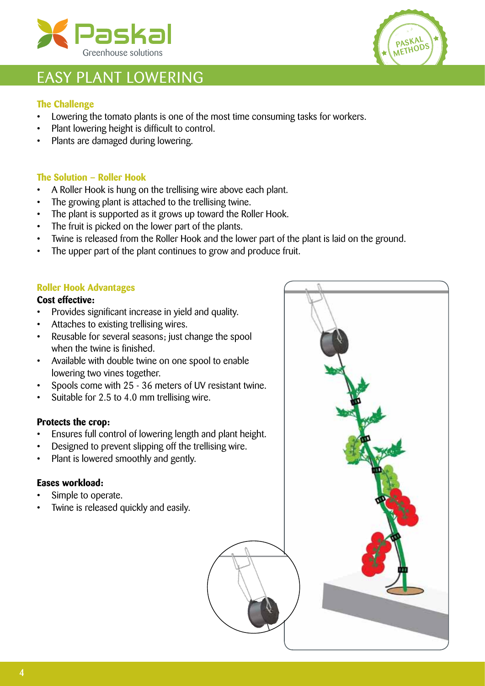



## EASY PLANT LOWERING

## **The Challenge**

- • Lowering the tomato plants is one of the most time consuming tasks for workers.
- Plant lowering height is difficult to control.
- Plants are damaged during lowering.

## **The Solution – Roller Hook**

- A Roller Hook is hung on the trellising wire above each plant.
- The growing plant is attached to the trellising twine.
- The plant is supported as it grows up toward the Roller Hook.
- The fruit is picked on the lower part of the plants.
- Twine is released from the Roller Hook and the lower part of the plant is laid on the ground.
- The upper part of the plant continues to grow and produce fruit.

### **Roller Hook Advantages**

### **Cost effective:**

- Provides significant increase in yield and quality.
- • Attaches to existing trellising wires.
- Reusable for several seasons; just change the spool when the twine is finished.
- • Available with double twine on one spool to enable lowering two vines together.
- Spools come with 25 36 meters of UV resistant twine.
- • Suitable for 2.5 to 4.0 mm trellising wire.

## **Protects the crop:**

- Ensures full control of lowering length and plant height.
- Designed to prevent slipping off the trellising wire.
- Plant is lowered smoothly and gently.

### **Eases workload:**

- Simple to operate.
- Twine is released quickly and easily.